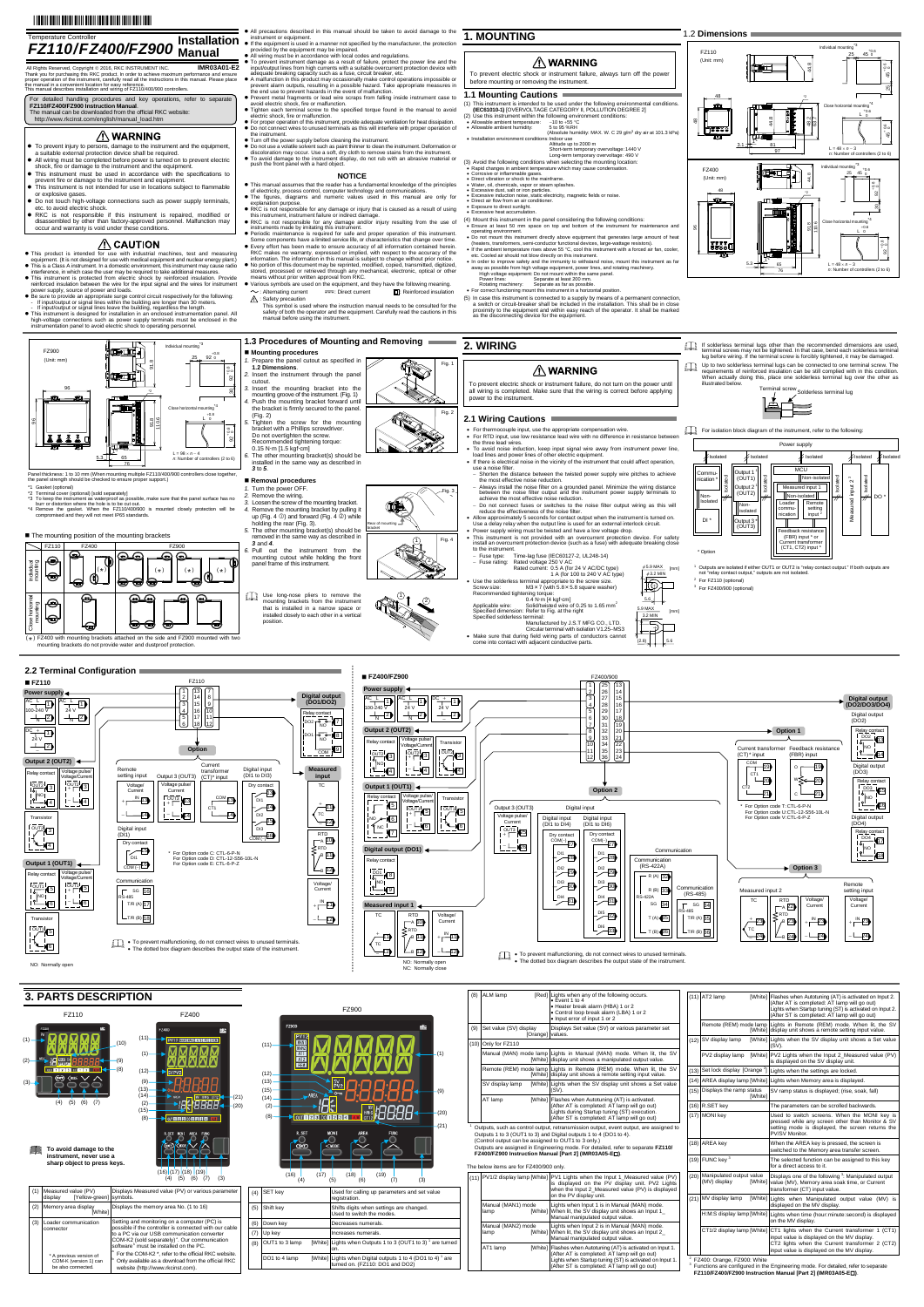# 

- 
- 
- This product is intended for use with modustrial machines, test and measuring<br>equipment. (It is not designed for use with medical equipment and nuclear energy plant.)<br>This is a Class A instrument. In a domestic environme
- 
- reinforced insulation between the wire for the input signal and the wires for instrument<br>power supply, source of power and loads.<br>
 Be sure to provide an appropriate surge control circuit respectively for the following:<br>
- high-voltage connections such as power supply terminals must be enclosed in the instrumentation panel to avoid electric shock to operating personnel.

œœ,

na ti

- This manual assumes that the reader has a fundamental knowledge of the principles<br>of electricity, process control, computer technology and communications.<br>● The figures, diagrams and numeric values used in this manual a <sub>gurco, alagraf<br>ation purpose.</sub>
- RKC is not responsible for any damage or injury that is caused as a result of using this instrument, instrument failure or indirect damage.
- 
- 
- RKC is not responsible for any damage and/or injury resulting from the use of<br>RC is not responsible for any damage and/or injury resulting from the use of<br>• Periodic maintenance is required for safe and proper operation
- I means without phor whiteh approvantion KKC.<br>• Various symbols are used on the equipment, and they have the following meaning.  $\sim$ : Alternating current  $\overline{z}$ : Direct current  $\overline{z}$ : Reinforced insulation
	- : Safety precaution **!**
	- This symbol is used where the instruction manual needs to be consulted for the safety of both the operator and the equipment. Carefully read the cautions in this manual before using the instrument.

#### **NOTICE**

- mounting ❺
- attached on the side and FZ900 mounted with two mounting brackets and the mounting brackets of provide water and provide the proof provide  $\frac{1}{2}$  $(*)$

 $\dag$ 

i

 $\blacksquare$  The mounting position of the mounting brackets

**1.3 Procedures of Mounting and Removing 2. WIRING** If solderless terminal lugs other than the recommended dimensions are used,<br>terminal screws may not be tightened. In that case, bend each solderless terminal<br>lug before wiring. If the terminal screw is forcibly tightened, **Mounting procedures** *1.* Prepare the panel cutout as specified in **1.2 Dimensions**. Fig. 1 Up to two solderless terminal lugs can be connected to one terminal screw. The<br>requirements of reinforced insulation can be still complied with in this condition.<br>When actually doing this, place one solderless terminal lug **TO △ WARNING** *2.* Insert the instrument through the panel cutout.<br>3. Insert the mounting bracket into the To prevent electric shock or instrument failure, do not turn on the power until Terminal screw Solderless terminal lug<br>
The Solderless terminal lug<br>
The Solderless terminal lug<br>
The Solderless terminal lug *3.* Insert the mounting bracket into the mounting groove of the instrument. (Fig. 1) *4.* Push the mounting bracket forward until the bracket is firmly secured to the panel. (Fig. 2) all wiring is completed. Make sure that the wiring is correct before applying power to the instrument.  $\equiv$ Fig. 2 **2.1 Wiring Cautions** *5.* Tighten the screw for the mounting bracket with a Phillips screwdriver. Do not overtighten the screw. For isolation block diagram of the instrument, refer to the following: For thermocouple input, use the appropriate compensation wire. For RTD input, use low resistance lead wire with no difference in resistance between the three lead wires. Recommended tightening torque: Power supply 0.15 N·m [1.5 kgf·cm]<br>6. The other mounting bracket(s) should be ● To avoid noise induction, keep input signal wire away from instrument power line,<br>load lines and power lines of other electric equipment.<br>● If there is electrical noise in the vicinity of the instrument that could affec installed in the same way as described in *3* to *5*. use a noise filter.<br>- Shorten the distance between the twisted power supply wire pitches to achieve<br>the most effective noise reduction.<br>- Always install the noise filter on a grounded panel. Minimize the wiring distance<br>be MCU Output 1<sup>1</sup><br>(OUT1) Commu- **Removal procedures**  Isolated Isolated Non-isolated Isolated input  $2^3$ Isolated nication \* Measured input 2<sup>3</sup> Output 2<sup>1</sup><br>(OUT2) 1. Turn the power OFF.<br>
2. Remove the wiring.<br>
3. Loosen the screw of the mounting bracket.<br>
4. Remove the mounting bracket by pulling it<br>
4. Remove the mounting bracket by pulling it<br>
bolding the rear (Fig. 3).<br>
5. The o Measured input 1 Fig. 3  $\frac{1}{2}$ achieve the most effective noise reduction. Non-Isolated Non-isolated ||<br>|der || Remote 17 DO \* ured OK Do not connect fuses or switches to the noise filter output wiring as this will reduce the effectiveness of the noise filter. Noncommu-nication setting<br>input<sup>2</sup> Measu reduce the effectiveness of the noise filter.<br>The allow approximately 5 seconds for contact output when the instrument is turned on.<br>Use a delay relay when the output line is used for an external interlock circuit.<br>Prower isolated  $DI$ -4  $\mathbb{I}$ Output 3 \* (OUT3) Rear of mounting bracket  $(1)$  Fig. 4



# **A** WARNING

- Fuse type: Time-lag fuse (IEC60127-2, UL248-14) Fuse rating: Rated voltage 250 V AC Rated current: 0.5 A (for 24 V AC/DC type)
- 
- Use the solderless terminal appropriate to the Sz40 V AC type)<br>Screw size:  $M3 \times 7$  (with 5.8 × 5.8 square washer)<br>Recommended tightening torque:<br>Recommended tightening torque:<br>Applicable wire: Solid/Wivisted wire of 0.
- 
- Specified solderless terminal:<br>
Manufactured by J.S.T MFG CO., LTD.<br>
Circular terminal with isolation V1.25-MS3<br>
 Make sure that during field wring parts of conductors cannot<br>
come into contact with adjacent conductive pa
- 
- 

**2.2 Terminal Configuration** ■ **FZ110** ■ **FZ400/FZ900 ■ FZ400/FZ900 ■** FZ400/FZ900 FZ400/9 FZ110 1 25 13  $\sqrt{13}$ **Power supply Power sup** 1 7 2 26 14 **Digital output (DO1/DO2)** 2 14 8  $PC_{++}$ 1 3 27 15 **Digital output (DO2/DO3/DO4)**  $AC + T$  $AC + T$ AC 1<br>11 ـــ<sup>ــا</sup> AC  $-1$ 3 15 9  $10^{124}$ 4 28 16 24 V 24 V 100-240 V 24 V 4 16 10 5 29 17 Rela<u>y contact</u><br>|DO2 <del>| 0 0 0 |</del> 0 1  $\frac{1}{2}$  $\frac{1}{N}$  $-2$ Digital output 2 2 5 17 11 6 30 18 N N (DO2) 6 18 12 7 31 19 **Output 2 (OUT2) Option 1**  $+$   $-11$ DC 8 9 32 20  $\frac{1}{10}$   $\frac{1}{10}$ DO1 33 21 24 V Voltage pulse/ elay conta **Transisto** 10 34 22 2 Voltage/Current **Option**  Current transformer Feedback resistanc  $\frac{1}{2}$ ÷ 11 35 23  $\sim$   $\frac{3}{13}$ OUT2|<br><sup>O</sup>INOI  $^{OUT2}_{+}$ 13 (CT)\* input (FBR) input **Output 2 (OUT2)**  12 36 24 Current сом<br>—— 19 19  $-4$ Digital output (DO3) Remote - ∟∎4 Digital input (DI1 to DI3) **Measured input**  transformer 4 Voltage pulse/ Relay contact Output 3 (OUT3) ст1<br>——20 setting input Voltage/Current (CT)\* input w⋚ 20 **Output 1 (OUT1)**  $^{OUT2}$  $(3)$ TC  $\frac{6}{100}$  3 Voltage/ Current Voltage pulse/ Current Dry contact  $\epsilon$ **Option 2** CT<sub>2</sub>  $\overline{21}$  $-21$ Voltage pulse/  $\frac{1}{13}$ Relay contact <u>сом<sub>13</sub></u> **Transisto** - ∟ (4  $+$  $\Gamma$  $^{0}$  $^{13}$  $(13)$ Voltage/Current 4  $\ddot{}$  $\sqrt{5}$ —ा<u>ग</u><br>™<br>—ा2  $\sqrt{\phantom{.}}$ Output 3 (OUT3) Digital input \* For Option code T: CTL-6-P-N For Option code U: CTL-12-S56-10L-N For Option code V: CTL-6-P-Z  $\frac{14}{202}$ CT1  $_{+}^{\circ}$  $\frac{11}{10}$  $\frac{1}{15}$  $-14$ 14  $-1$ L, 14 ∤[6 Transisto Voltage pulse/ Current Digital output (DO4) NO Digital input (DI1 to DI4) Digital input (DI1 to DI6)  $\frac{15}{203}$ 12 \_¦्6 PNC 6) — ا− 3 OUT2 Digital input (DI1)  $\overline{2}$  $\frac{0}{1}$   $\sqrt{25}$ RTD<br>–a <mark>1</mark>0 Dry conta Dry contact  $\frac{1}{COM(1)}$ 16  $\sqrt{4}$ COM(-)<sub>27</sub>  $COM(-)$ <sub>27</sub> Dry contact  $\sqrt{\frac{15}{D1}}$ **Digital output (DO1)**  $-1$  $-126$ rtd<br><sub>/B</sub> |11 Communication \* For Option code C: CTL-6-P-N For Option code D: CTL-12-S56-10L-N  $2^{D11}$  28  $28$ **Relay contad** Communication (RS-422A)  $\text{utput 1 (OUT1)} \triangleq$ For Option code E: CTL-6-P-Z  $\frac{16}{20M}$  $\frac{D12}{29}$  $\frac{D12}{29}$ **Option 3** B 12 ltage pu **DO1**<br><sup>9</sup> NOI Relay contact 32 R (A) Voltage/Current Communication  $\frac{D}{3}$ <sub>50</sub> <sup>DI3</sup>-50 Voltage/ Current Remote setting input  $_{+}^{\circ}$  $\sqrt{-5}$ R (B) 33 Communicati <sup>out1</sup>IC<br><sup>¶</sup>l<sup>oo</sup>l Measured input 2 9 F SG 16<br>RS-485  $-81$ (RS-485)  $\begin{array}{c}\n\hline\nD14 \\
\hline\n\end{array}$  $-422A$ TC Voltage/ Current Voltage/ Current 6) — ⊢  $\overline{\phantom{0}}$  SG  $\overline{\phantom{0}}$  34 RTD<br>–a <mark>22</mark><br>rtd  $+$  $\frac{1}{11}$ 11 6 T/R (A) 17 **Measured input 1** F SG 34<br>RS-485  $-$ <sup>DI5</sup><sub>32</sub>  $T(A)$  35 TC RTD<br>–a 110 Voltage/ Current Transistor T/R (B) 18 12—ا – T/R (A) 35  $\ddot{}$  $+\frac{IN}{123}$  $+\frac{IN}{123}$ — 23<br>тс B 23  $L^{D16}$  33  $\frac{100+11}{2}$ 15 rtd<br><sub>/</sub>b |11 T (B) 36 T/R (B) 36  $+11$  $+$  $\frac{\text{IN}}{\text{I}}$ 11  $-24$  $-24$ B 24 ÷ 24—ا – Ξ To prevent malfunctioning, do not connect wires to unused terminals. The dotted box diagram describes the output state of the instrument. 6)ب TC 12 B 12 12—ا – Ξ To prevent malfunctioning, do not connect wires to unused terminals. The dotted box diagram describes the output state of the instrument. NO: Normally open NO: Normally open International Control of the UNES of Society of the NO: Normally open International open International C: Normally open International C: Normally open International C: Normally close

- **1.1 Mounting Cautions** (1) This instrument is intended to be used under the following environmental conditions. **(IEC61010-1)** [OVERVOLTAGE CATEGORY II, POLLUTION DEGREE 2]
- (2) Use this instrument within the following environment conditions:<br>
 Allowable ambient temperature: 10 to +55 °C<br>
 Allowable ambient humidity: 5 to 95 %RH
- (Absolute humidity: MAX. W. C 29 g/m<sup>3</sup> dry air at 101.3 kPa)
- Installation environment conditions: Indoor use Altitude up to 2000 m Short-term temporary overvoltage: 1440 V
- (3) Avoid the following conditions when selecting the moving e. 490 v<br>
 Rapid changes in ambient temperature which may cause condensation:<br>
 Corrosive or inflammable gases.<br>
 Direct vibration or shock to the maintame.<br>
- 
- 
- 
- Direct air flow from an air conditioner.<br>Exposure to direct sunlight.
- Exposure to direct sunlight. Excessive heat accumulation.
- (4) Mount this instrument in the panel considering the following conditions: Ensure at least 50 mm space on top and bottom of the instrument for maintenance and
- 
- operating environment.<br>
 Do not mount this instrument directly above equipment that generates large amount of heat<br>
(heaters, transformers, semi-conductor functional devices, large-wattage resistors).<br>
 If the ambient te
- away as possible from high voltage equipment, power lines, and rotating machinery.<br>
High voltage equipment: Do not mount within the same panel.<br>
Power lines: Comparate at least 200 mm.<br>
Rotating machinery: Ceparate as far
- 
- 
- (5) In case this instrument is connected to a supply by means of a permanent connection, a switch or circuit-breaker shall be included in the installation. This shall be in close proximity to the equipment and within easy reach of the operator. It shall be marked as the disconnecting device for the equipment.
- 

1.2 **Dimensions**

Panel thickness: 1 to 10 mm (When mounting multiple FZ110/400/900 controllers close together, the panel strength should be checked to ensure proper support.)

Individual mounting

Close horizontal

 $\sqrt{5}$  FZ110 FZ400

\*  $(*)$  ||  $(*)$ 

\*)  $\begin{bmatrix} | & | & | \end{bmatrix}$  (\*)  $\begin{bmatrix} | & \star \end{bmatrix}$  (\*)  $\begin{bmatrix} \star \end{bmatrix}$  (\*)

\*1 Gasket (optional)<br>\*2 Terminal cover (op<br>\*3 To keep the instrum

G ₩

e



- 
- 
- 
- <ul>\n<li> To prevent injury to persons, damage to the instrument and the equipment, a suitable external proteton device shall be required.</li>\n<li> All wiring must be completed before power is turned on to prevent electric shock, fire or damage to the instrument and the equipment.</li>\n<li> This instrument must be used in accordance with the specifications to prevent fire or damage to the instrument and equipment.</li>\n<li> This instrument is not intended for use in location, subject to flammable.</li>\n</ul>
- or explosive gases. Do not touch high-voltage connections such as power supply terminals, etc. to avoid electric shock.
- 
- RKC is not responsible if this instrument is repaired, modified or disassembled by other than factory-approved personnel. Malfunction may occur and warranty is void under these conditions.

# $\triangle$  CAUTION

Use long-nose pliers to remove the mounting brackets from the instrument that is installed in a narrow space or installed closely to each other in a vertical position.

### Temperature Controller *FZ110/FZ400/FZ900* **Installation Manual**

All Rights Reserved, Copyright © 2016, RKC INSTRUMENT INC.<br>Thank you for purchasing this RKC product. In order to achieve maximum performance and ensure<br>proper operation of the instrument, carefully read all the instructi

For detailed handling procedures and key operations, refer to separate<br>FZ110/FZ400/FZ900 Instruction Manual.<br>The manual can be downloaded from the official RKC website:<br>http://www.rkcinst.com/english/manual\_load.htm

# **A** WARNING

Relay con <u>DO3 1415</u><br>'|NO <sup>|</sup> 16

Relay contact <u>DO2</u> 1413<br>'|NO  $\frac{1}{2}$   $\frac{1}{44}$ 

 $^{+9}$   $^{+0.6}$ <br>25 45 0 0

Individual mounting<sup>\*3</sup>

FZ110 (Unit: mm)

5.3 1"

 $(*)$ 

"2 Terminal cover (optional) [sold separately]<br>
"3 To keep the instrument as waterproof as possible, make sure that the panel surface has no<br>
burr or distortion where the hole is to be cut out.<br>
"4 Remove the gasket. When

 $92^{+0.8}_{-0.0}$ 

FZ900 (Unit: mm)

All precautions described in this manual should be taken to avoid damage to the<br>
intercentions described in a manner or stepsicified by the manufacturer, the protection<br>
of the equipment is used in a manner or specified.<br>

- 
- Tighten each terminal screw to the specified torque found in the manual to avoid<br>● electric shock, fire or malfunction.<br>● For proper operation of this instrument, provide adequate ventilation for heat dissipation.<br>● Do
- 
- the instrument.<br>
 Turn off the power supply before cleaning the instrument.<br>
 Do not use a volatile solvent such as paint thinner to clean the instrument. Deformation or<br>
 Do not use a volatile solvent such as paint thi

 5.9 MAX [mm]  $\begin{picture}(120,110) \put(15,11){\line(1,0){150}} \put(15,11){\line(1,0){150}} \put(15,11){\line(1,0){150}} \put(15,11){\line(1,0){150}} \put(15,11){\line(1,0){150}} \put(15,11){\line(1,0){150}} \put(15,11){\line(1,0){150}} \put(15,11){\line(1,0){150}} \put(15,11){\line(1,0){150}} \put(15,11){\line(1,0){150}} \put(15,1$  $5.6$ 5.9 MAX 3.2 MIN  $\bigoplus_{(2.8)}$ 

# **3. PARTS DESCRIPTION**



| (8)  | ALM lamp                                            | [Red] Lights when any of the following occurs.<br>$\bullet$ Event 1 to 4<br>· Heater break alarm (HBA) 1 or 2<br>. Control loop break alarm (LBA) 1 or 2<br>. Input error of input 1 or 2                         |                     | (11) AT2 la           |
|------|-----------------------------------------------------|-------------------------------------------------------------------------------------------------------------------------------------------------------------------------------------------------------------------|---------------------|-----------------------|
| (9)  | Set value (SV) display<br>[Orange]                  | Displays Set value (SV) or various parameter set<br>values.                                                                                                                                                       |                     | Remo                  |
| (10) | Only for FZ110                                      |                                                                                                                                                                                                                   | (12)                | SV dis                |
|      |                                                     | Manual (MAN) mode lamp Lights in Manual (MAN) mode. When lit, the SV<br>[White] display unit shows a manipulated output value.                                                                                    |                     | PV <sub>2</sub> d     |
|      |                                                     | Remote (REM) mode lamp Lights in Remote (REM) mode. When lit, the SV<br>[White] display unit shows a remote setting input value.                                                                                  | (13)                | Set lor               |
|      | SV display lamp                                     | [White] Lights when the SV display unit shows a Set value                                                                                                                                                         | (14)                | AREA                  |
|      |                                                     | (SV).                                                                                                                                                                                                             | (15)                | Displa                |
|      | AT lamp                                             | [White] Flashes when Autotuning (AT) is activated.<br>(After AT is completed: AT lamp will go out)                                                                                                                |                     | $(16)$ R.SET          |
|      |                                                     | Lights during Startup tuning (ST) execution.<br>(After ST is completed: AT lamp will go out)                                                                                                                      | (17)                | <b>MONI</b>           |
|      |                                                     | Outputs, such as control output, retransmission output, event output, are assigned to<br>Outputs 1 to 3 (OUT1 to 3) and Digital outputs 1 to 4 (DO1 to 4).                                                        |                     |                       |
|      | (Control output can be assigned to OUT1 to 3 only.) | Outputs are assigned in Engineering mode. For detailed, refer to separate FZ110/<br>FZ400/FZ900 Instruction Manual [Part 2] (IMR03A05-EO).                                                                        |                     | $(18)$ AREA           |
|      | The below items are for FZ400/900 only.             |                                                                                                                                                                                                                   | (19)                | <b>FUNC</b>           |
|      | (11) PV1/2 display lamp [White]                     | PV1 Lights when the Input 1 Measured value (PV)<br>is displayed on the PV display unit. PV2 Lights<br>when the Input 2 Measured value (PV) is displayed                                                           | (20)                | Manip<br>(MV)         |
|      | Manual (MAN1) mode                                  | on the PV display unit.<br>Lights when Input 1 is in Manual (MAN) mode.                                                                                                                                           | (21)                | MV dis                |
|      | lamp                                                | IWhite] When lit, the SV display unit shows an Input 1<br>Manual manipulated output value.                                                                                                                        |                     | H: M: S               |
|      | Manual (MAN2) mode<br>[White]<br>lamp               | Lights when Input 2 is in Manual (MAN) mode.<br>When lit, the SV display unit shows an Input 2<br>Manual manipulated output value.                                                                                |                     | CT1/2                 |
|      | AT1 lamp<br>[White]                                 | Flashes when Autotuning (AT) is activated on Input 1.<br>(After AT is completed: AT lamp will go out)<br>Lights when Startup tuning (ST) is activated on Input 1.<br>(After ST is completed: AT lamp will go out) | $\overline{2}$<br>3 | FZ400: O<br>Functions |

|      | $(11)$ AT2 lamp                                            | [White] Flashes when Autotuning (AT) is activated on Input 2.<br>(After AT is completed: AT lamp will go out)<br>Lights when Startup tuning (ST) is activated on Input 2.<br>(After ST is completed: AT lamp will go out) |
|------|------------------------------------------------------------|---------------------------------------------------------------------------------------------------------------------------------------------------------------------------------------------------------------------------|
|      | Remote (REM) mode lamp<br><b>IWhitel</b>                   | Lights in Remote (REM) mode. When lit, the SV<br>display unit shows a remote setting input value.                                                                                                                         |
|      | (12) SV display lamp<br><b>IWhitel</b>                     | Lights when the SV display unit shows a Set value<br>(SV).                                                                                                                                                                |
|      | <b>IWhitel</b><br>PV2 display lamp                         | PV2 Lights when the Input 2 Measured value (PV)<br>is displayed on the SV display unit.                                                                                                                                   |
| (13) | Set lock display [Orange <sup>2</sup> ]                    | Lights when the settings are locked.                                                                                                                                                                                      |
| (14) | AREA display lamp [White]                                  | Lights when Memory area is displayed.                                                                                                                                                                                     |
| (15) | Displays the ramp status<br>[White]                        | SV ramp status is displayed; (rise, soak, fall)                                                                                                                                                                           |
|      | (16) R.SET kev                                             | The parameters can be scrolled backwards.                                                                                                                                                                                 |
|      | (17) MONI kev                                              | Used to switch screens. When the MONI key is<br>pressed while any screen other than Monitor & SV<br>setting mode is displayed, the screen returns the<br>PV/SV Monitor.                                                   |
| (18) | AREA key                                                   | When the AREA key is pressed, the screen is<br>switched to the Memory area transfer screen.                                                                                                                               |
| (19) | FUNC key <sup>3</sup>                                      | The selected function can be assigned to this key<br>for a direct access to it.                                                                                                                                           |
| (20) | Manipulated output value<br>(MV) display<br><b>IWhitel</b> | Displays one of the following 3: Manipulated output<br>value (MV), Memory area soak time, or Current<br>transformer (CT) input value.                                                                                     |
| (21) | MV display lamp<br>[White]                                 | Lights when Manipulated output value (MV) is<br>displayed on the MV display.                                                                                                                                              |
|      | H:M:S display lamp [White]                                 | Lights when time (hour:minute:second) is displayed<br>on the MV display.                                                                                                                                                  |
|      | CT1/2 display lamp [White]                                 | CT1 lights when the Current transformer 1 (CT1)<br>input value is displayed on the MV display.<br>CT2 lights when the Current transformer 2 (CT2)                                                                         |

FZ900: White

 Functions are configured in the Engineering mode. For detailed, refer to separate **FZ110/FZ400/FZ900 Instruction Manual [Part 2] (IMR03A05-E)**.

To prevent electric shock or instrument failure, always turn off the power before mounting or removing the instrument.

|     |                                                                |                                                                                                                       | $\omega$                                             |
|-----|----------------------------------------------------------------|-----------------------------------------------------------------------------------------------------------------------|------------------------------------------------------|
|     |                                                                | FZ900                                                                                                                 |                                                      |
|     | FZ900                                                          | RKC                                                                                                                   | (9)                                                  |
|     | PV12<br>(11)<br>AT2<br>REM<br>(12)                             | (1)                                                                                                                   | (10)                                                 |
|     | (13)<br>(15)<br>AREA<br>(14)<br>(2)<br>(8)<br><b>OUT 1 2 3</b> | SV.<br>(9)<br>∼<br><b>HAMS</b><br>(20)<br>234<br>CT12                                                                 |                                                      |
|     | R. SET<br><b>EGT</b><br>(16)<br>(17)<br>(4)                    | (21)<br><b>FUNC</b><br><b>AREA</b><br><b>MONT</b><br><wooe<br>(18)<br/>(19)<br/>(3)<br/>(5)<br/>(6)<br/>(7)</wooe<br> | 1<br>$\circ$<br>O<br>(C)<br>O<br>FZ<br>The b<br>(11) |
| (4) | SET key                                                        | Used for calling up parameters and set value<br>registration.                                                         |                                                      |
| (5) | Shift key                                                      | Shifts digits when settings are changed.<br>Used to switch the modes.                                                 |                                                      |
| (6) | Down key                                                       | Decreases numerals.                                                                                                   |                                                      |
| (7) | Up key                                                         | Increases numerals.                                                                                                   |                                                      |
| (8) | [White]<br>OUT1 to 3 lamp                                      | Lights when Outputs 1 to 3 (OUT1 to 3) <sup>1</sup> are turned<br>on.                                                 |                                                      |
|     | DO1 to 4 lamp<br>[White]                                       | Lights when Digital outputs 1 to 4 (DO1 to 4) <sup>1</sup> are<br>turned on. (FZ110: DO1 and DO2)                     |                                                      |



 Outputs are isolated if either OUT1 or OUT2 is "relay contact output." If both outputs are not "relay contact output," outputs are not isolated. For FZ110 (optional)

3 For FZ400/900 (optional)

Relay contact <u>do4</u> | 17<br>| <sub>NO</sub> | 18



Œī

 $45^{+0.6}_{-0.0}$ 

సి

96

96

91.8

\*2

91.8 110.6

65 76 30

92 م<br>92

 $25 \t 92 \t 0 \t 0$ 

\*<br>Iual mounting

e\*<br>Close horizontal mounting

 $L_{0}^{+0.8}$ 

 $L = 98 \times n - 4$ <br>*n*: Number of controllers (2 to 6)

 $\mathbf{A}^{(*)}$   $\mathbf{A}^{(*)}$ 

2

[mm]

┑